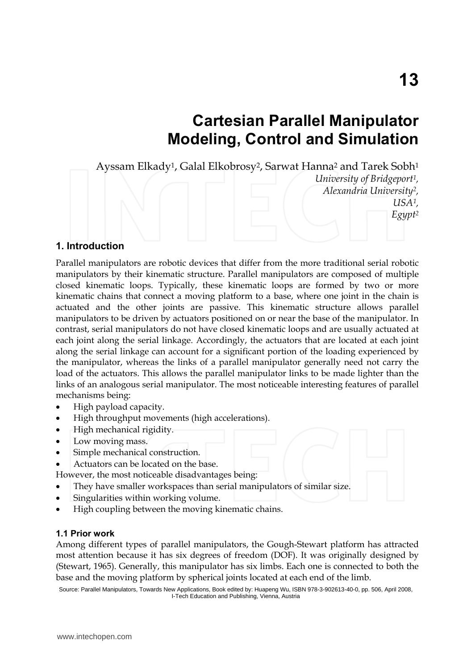# **Cartesian Parallel Manipulator Modeling, Control and Simulation**

Ayssam Elkady<sup>1</sup>, Galal Elkobrosy<sup>2</sup>, Sarwat Hanna<sup>2</sup> and Tarek Sobh<sup>1</sup>

*University of Bridgeport<sup>1</sup> , Alexandria University<sup>2</sup> , USA<sup>1</sup> , Egypt<sup>2</sup>*

# **1. Introduction**

Parallel manipulators are robotic devices that differ from the more traditional serial robotic manipulators by their kinematic structure. Parallel manipulators are composed of multiple closed kinematic loops. Typically, these kinematic loops are formed by two or more kinematic chains that connect a moving platform to a base, where one joint in the chain is actuated and the other joints are passive. This kinematic structure allows parallel manipulators to be driven by actuators positioned on or near the base of the manipulator. In contrast, serial manipulators do not have closed kinematic loops and are usually actuated at each joint along the serial linkage. Accordingly, the actuators that are located at each joint along the serial linkage can account for a significant portion of the loading experienced by the manipulator, whereas the links of a parallel manipulator generally need not carry the load of the actuators. This allows the parallel manipulator links to be made lighter than the links of an analogous serial manipulator. The most noticeable interesting features of parallel mechanisms being:

- High payload capacity.
- High throughput movements (high accelerations).
- High mechanical rigidity.
- Low moving mass.
- Simple mechanical construction.
- Actuators can be located on the base.
- However, the most noticeable disadvantages being:
- They have smaller workspaces than serial manipulators of similar size.
- Singularities within working volume.
- High coupling between the moving kinematic chains.

# **1.1 Prior work**

Among different types of parallel manipulators, the Gough-Stewart platform has attracted most attention because it has six degrees of freedom (DOF). It was originally designed by (Stewart, 1965). Generally, this manipulator has six limbs. Each one is connected to both the base and the moving platform by spherical joints located at each end of the limb.

Source: Parallel Manipulators, Towards New Applications, Book edited by: Huapeng Wu, ISBN 978-3-902613-40-0, pp. 506, April 2008, I-Tech Education and Publishing, Vienna, Austria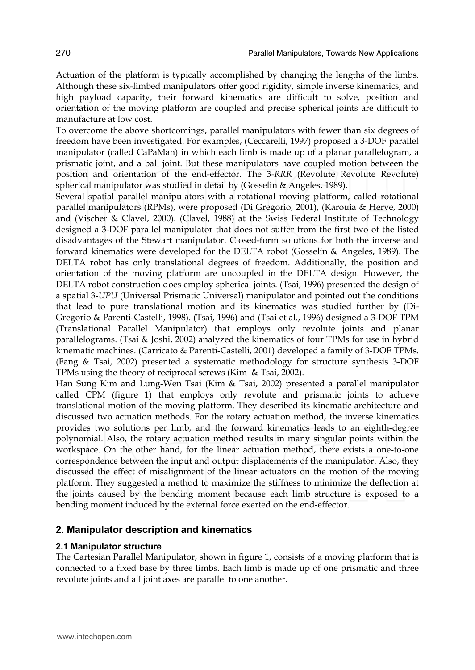Actuation of the platform is typically accomplished by changing the lengths of the limbs. Although these six-limbed manipulators offer good rigidity, simple inverse kinematics, and high payload capacity, their forward kinematics are difficult to solve, position and orientation of the moving platform are coupled and precise spherical joints are difficult to manufacture at low cost.

To overcome the above shortcomings, parallel manipulators with fewer than six degrees of freedom have been investigated. For examples, (Ceccarelli, 1997) proposed a 3-DOF parallel manipulator (called CaPaMan) in which each limb is made up of a planar parallelogram, a prismatic joint, and a ball joint. But these manipulators have coupled motion between the position and orientation of the end-effector. The 3-*RRR* (Revolute Revolute Revolute) spherical manipulator was studied in detail by (Gosselin & Angeles, 1989).

Several spatial parallel manipulators with a rotational moving platform, called rotational parallel manipulators (RPMs), were proposed (Di Gregorio, 2001), (Karouia & Herve, 2000) and (Vischer & Clavel, 2000). (Clavel, 1988) at the Swiss Federal Institute of Technology designed a 3-DOF parallel manipulator that does not suffer from the first two of the listed disadvantages of the Stewart manipulator. Closed-form solutions for both the inverse and forward kinematics were developed for the DELTA robot (Gosselin & Angeles, 1989). The DELTA robot has only translational degrees of freedom. Additionally, the position and orientation of the moving platform are uncoupled in the DELTA design. However, the DELTA robot construction does employ spherical joints. (Tsai, 1996) presented the design of a spatial 3-*UPU* (Universal Prismatic Universal) manipulator and pointed out the conditions that lead to pure translational motion and its kinematics was studied further by (Di-Gregorio & Parenti-Castelli, 1998). (Tsai, 1996) and (Tsai et al., 1996) designed a 3-DOF TPM (Translational Parallel Manipulator) that employs only revolute joints and planar parallelograms. (Tsai & Joshi, 2002) analyzed the kinematics of four TPMs for use in hybrid kinematic machines. (Carricato & Parenti-Castelli, 2001) developed a family of 3-DOF TPMs. (Fang & Tsai, 2002) presented a systematic methodology for structure synthesis 3-DOF TPMs using the theory of reciprocal screws (Kim & Tsai, 2002).

Han Sung Kim and Lung-Wen Tsai (Kim & Tsai, 2002) presented a parallel manipulator called CPM (figure 1) that employs only revolute and prismatic joints to achieve translational motion of the moving platform. They described its kinematic architecture and discussed two actuation methods. For the rotary actuation method, the inverse kinematics provides two solutions per limb, and the forward kinematics leads to an eighth-degree polynomial. Also, the rotary actuation method results in many singular points within the workspace. On the other hand, for the linear actuation method, there exists a one-to-one correspondence between the input and output displacements of the manipulator. Also, they discussed the effect of misalignment of the linear actuators on the motion of the moving platform. They suggested a method to maximize the stiffness to minimize the deflection at the joints caused by the bending moment because each limb structure is exposed to a bending moment induced by the external force exerted on the end-effector.

# **2. Manipulator description and kinematics**

# **2.1 Manipulator structure**

The Cartesian Parallel Manipulator, shown in figure 1, consists of a moving platform that is connected to a fixed base by three limbs. Each limb is made up of one prismatic and three revolute joints and all joint axes are parallel to one another.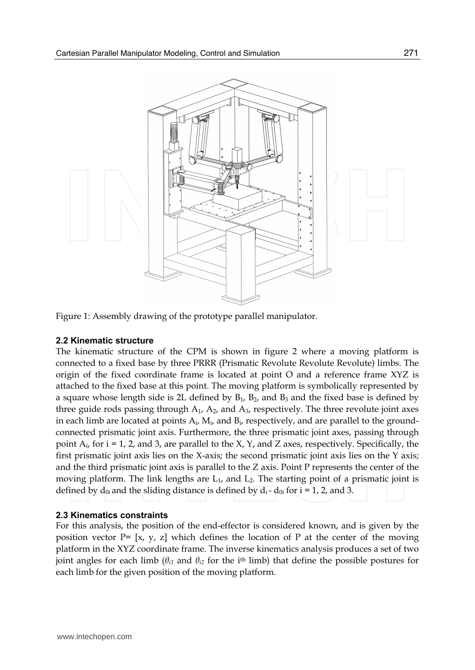

Figure 1: Assembly drawing of the prototype parallel manipulator.

#### **2.2 Kinematic structure**

The kinematic structure of the CPM is shown in figure 2 where a moving platform is connected to a fixed base by three PRRR (Prismatic Revolute Revolute Revolute) limbs. The origin of the fixed coordinate frame is located at point O and a reference frame XYZ is attached to the fixed base at this point. The moving platform is symbolically represented by a square whose length side is 2L defined by  $B_1$ ,  $B_2$ , and  $B_3$  and the fixed base is defined by three guide rods passing through  $A_1$ ,  $A_2$ , and  $A_3$ , respectively. The three revolute joint axes in each limb are located at points  $A_i$ ,  $M_i$ , and  $B_i$ , respectively, and are parallel to the groundconnected prismatic joint axis. Furthermore, the three prismatic joint axes, passing through point  $A_i$ , for  $i = 1, 2$ , and 3, are parallel to the X, Y, and Z axes, respectively. Specifically, the first prismatic joint axis lies on the X-axis; the second prismatic joint axis lies on the Y axis; and the third prismatic joint axis is parallel to the Z axis. Point P represents the center of the moving platform. The link lengths are  $L_1$ , and  $L_2$ . The starting point of a prismatic joint is defined by  $d_{0i}$  and the sliding distance is defined by  $d_i$  -  $d_{0i}$  for  $i = 1, 2$ , and 3.

#### **2.3 Kinematics constraints**

For this analysis, the position of the end-effector is considered known, and is given by the position vector  $P = [x, y, z]$  which defines the location of P at the center of the moving platform in the XYZ coordinate frame. The inverse kinematics analysis produces a set of two joint angles for each limb ( $\theta_{i1}$  and  $\theta_{i2}$  for the i<sup>th</sup> limb) that define the possible postures for each limb for the given position of the moving platform.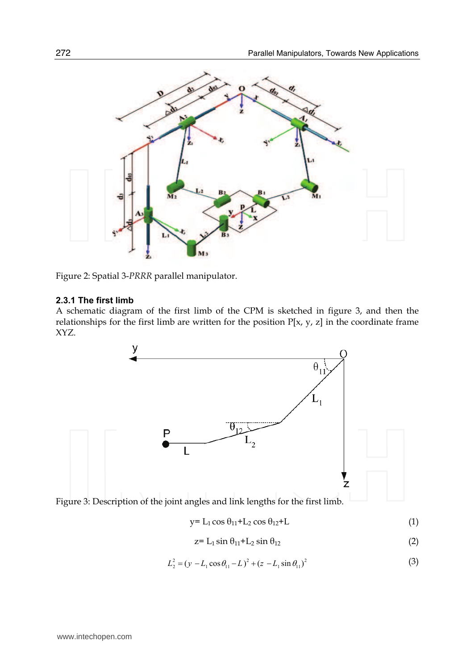

Figure 2: Spatial 3-*PRRR* parallel manipulator.

### **2.3.1 The first limb**

A schematic diagram of the first limb of the CPM is sketched in figure 3, and then the relationships for the first limb are written for the position  $P[x, y, z]$  in the coordinate frame XYZ.



Figure 3: Description of the joint angles and link lengths for the first limb.

$$
y=L_1 \cos \theta_{11}+L_2 \cos \theta_{12}+L \tag{1}
$$

$$
z = L_1 \sin \theta_{11} + L_2 \sin \theta_{12} \tag{2}
$$

$$
L_2^2 = (y - L_1 \cos \theta_{11} - L)^2 + (z - L_1 \sin \theta_{11})^2
$$
 (3)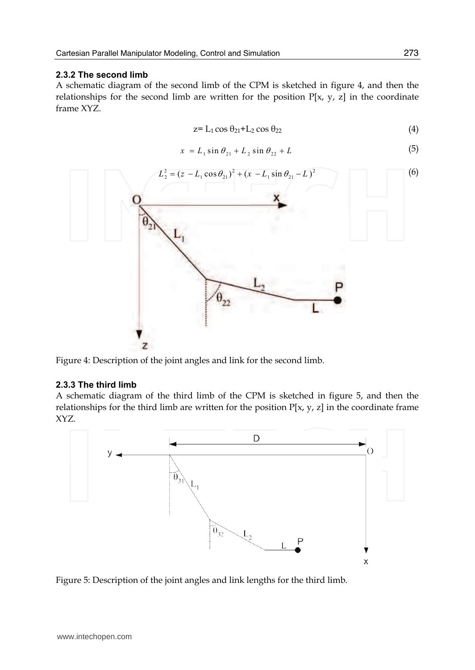# **2.3.2 The second limb**

A schematic diagram of the second limb of the CPM is sketched in figure 4, and then the relationships for the second limb are written for the position  $P[x, y, z]$  in the coordinate frame XYZ.

$$
z = L_1 \cos \theta_{21} + L_2 \cos \theta_{22} \tag{4}
$$

$$
x = L_1 \sin \theta_{21} + L_2 \sin \theta_{22} + L \tag{5}
$$



Figure 4: Description of the joint angles and link for the second limb.

# **2.3.3 The third limb**

A schematic diagram of the third limb of the CPM is sketched in figure 5, and then the relationships for the third limb are written for the position  $P[x, y, z]$  in the coordinate frame XYZ.



Figure 5: Description of the joint angles and link lengths for the third limb.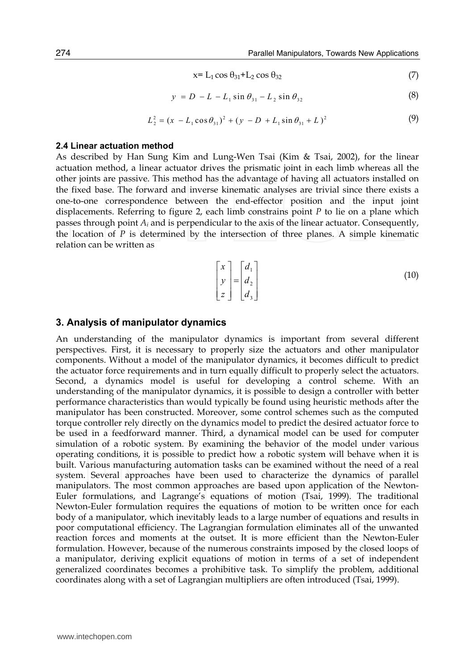$$
x = L_1 \cos \theta_{31} + L_2 \cos \theta_{32} \tag{7}
$$

$$
y = D - L - L_1 \sin \theta_{31} - L_2 \sin \theta_{32} \tag{8}
$$

$$
L_2^2 = (x - L_1 \cos \theta_{31})^2 + (y - D + L_1 \sin \theta_{31} + L)^2
$$
 (9)

#### **2.4 Linear actuation method**

As described by Han Sung Kim and Lung-Wen Tsai (Kim & Tsai, 2002), for the linear actuation method, a linear actuator drives the prismatic joint in each limb whereas all the other joints are passive. This method has the advantage of having all actuators installed on the fixed base. The forward and inverse kinematic analyses are trivial since there exists a one-to-one correspondence between the end-effector position and the input joint displacements. Referring to figure 2, each limb constrains point *P* to lie on a plane which passes through point *Ai* and is perpendicular to the axis of the linear actuator. Consequently, the location of *P* is determined by the intersection of three planes. A simple kinematic relation can be written as

$$
\begin{bmatrix} x \\ y \\ z \end{bmatrix} = \begin{bmatrix} d_1 \\ d_2 \\ d_3 \end{bmatrix}
$$
 (10)

#### **3. Analysis of manipulator dynamics**

An understanding of the manipulator dynamics is important from several different perspectives. First, it is necessary to properly size the actuators and other manipulator components. Without a model of the manipulator dynamics, it becomes difficult to predict the actuator force requirements and in turn equally difficult to properly select the actuators. Second, a dynamics model is useful for developing a control scheme. With an understanding of the manipulator dynamics, it is possible to design a controller with better performance characteristics than would typically be found using heuristic methods after the manipulator has been constructed. Moreover, some control schemes such as the computed torque controller rely directly on the dynamics model to predict the desired actuator force to be used in a feedforward manner. Third, a dynamical model can be used for computer simulation of a robotic system. By examining the behavior of the model under various operating conditions, it is possible to predict how a robotic system will behave when it is built. Various manufacturing automation tasks can be examined without the need of a real system. Several approaches have been used to characterize the dynamics of parallel manipulators. The most common approaches are based upon application of the Newton-Euler formulations, and Lagrange's equations of motion (Tsai, 1999). The traditional Newton-Euler formulation requires the equations of motion to be written once for each body of a manipulator, which inevitably leads to a large number of equations and results in poor computational efficiency. The Lagrangian formulation eliminates all of the unwanted reaction forces and moments at the outset. It is more efficient than the Newton-Euler formulation. However, because of the numerous constraints imposed by the closed loops of a manipulator, deriving explicit equations of motion in terms of a set of independent generalized coordinates becomes a prohibitive task. To simplify the problem, additional coordinates along with a set of Lagrangian multipliers are often introduced (Tsai, 1999).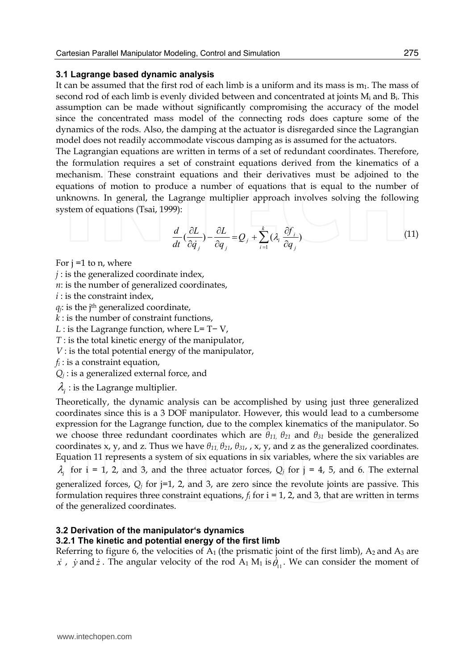#### **3.1 Lagrange based dynamic analysis**

It can be assumed that the first rod of each limb is a uniform and its mass is  $m_1$ . The mass of second rod of each limb is evenly divided between and concentrated at joints  $M_i$  and  $B_i$ . This assumption can be made without significantly compromising the accuracy of the model since the concentrated mass model of the connecting rods does capture some of the dynamics of the rods. Also, the damping at the actuator is disregarded since the Lagrangian model does not readily accommodate viscous damping as is assumed for the actuators.

The Lagrangian equations are written in terms of a set of redundant coordinates. Therefore, the formulation requires a set of constraint equations derived from the kinematics of a mechanism. These constraint equations and their derivatives must be adjoined to the equations of motion to produce a number of equations that is equal to the number of unknowns. In general, the Lagrange multiplier approach involves solving the following system of equations (Tsai, 1999):

$$
\frac{d}{dt}\left(\frac{\partial L}{\partial \dot{q}_j}\right) - \frac{\partial L}{\partial q_j} = Q_j + \sum_{i=1}^k (\lambda_i \frac{\partial f_i}{\partial q_j})
$$
\n(11)

For  $j = 1$  to n, where

*j* : is the generalized coordinate index,

*n*: is the number of generalized coordinates,

*i* : is the constraint index,

 $q_i$ : is the j<sup>th</sup> generalized coordinate,

*k* : is the number of constraint functions,

*L* : is the Lagrange function, where L= T− V,

*T* : is the total kinetic energy of the manipulator,

*V* : is the total potential energy of the manipulator,

*fi* : is a constraint equation,

*Qj* : is a generalized external force, and

 $\lambda_i$ : is the Lagrange multiplier.

Theoretically, the dynamic analysis can be accomplished by using just three generalized coordinates since this is a 3 DOF manipulator. However, this would lead to a cumbersome expression for the Lagrange function, due to the complex kinematics of the manipulator. So we choose three redundant coordinates which are  $\theta_{11}$ ,  $\theta_{21}$  and  $\theta_{31}$  beside the generalized coordinates x, y, and z. Thus we have  $\theta_{11}$ ,  $\theta_{21}$ ,  $\theta_{31}$ , , x, y, and z as the generalized coordinates. Equation 11 represents a system of six equations in six variables, where the six variables are  $\lambda_i$  for i = 1, 2, and 3, and the three actuator forces,  $Q_j$  for j = 4, 5, and 6. The external generalized forces,  $Q_i$  for  $j=1$ , 2, and 3, are zero since the revolute joints are passive. This formulation requires three constraint equations,  $f_i$  for  $i = 1, 2$ , and 3, that are written in terms of the generalized coordinates.

# **3.2 Derivation of the manipulator's dynamics**

#### **3.2.1 The kinetic and potential energy of the first limb**

Referring to figure 6, the velocities of  $A_1$  (the prismatic joint of the first limb),  $A_2$  and  $A_3$  are *x* , *y* and *z* . The angular velocity of the rod  $A_1 M_1$  is  $\dot{\theta}_{11}$ . We can consider the moment of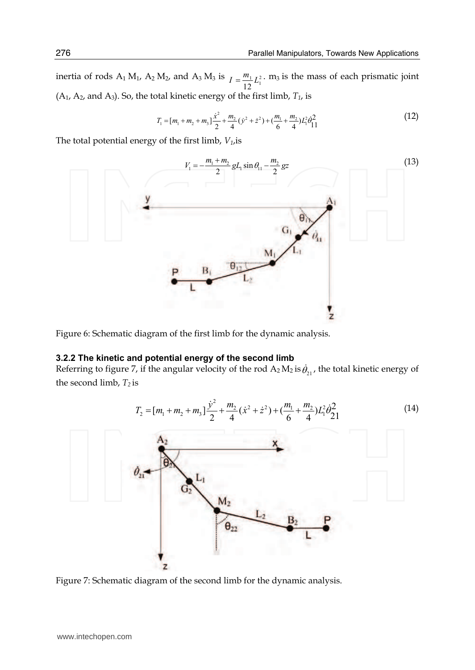inertia of rods A<sub>1</sub> M<sub>1</sub>, A<sub>2</sub> M<sub>2</sub>, and A<sub>3</sub> M<sub>3</sub> is  $I = \frac{m_1}{12} L_1^2$  $I = \frac{m_1}{4\pi} L_1^2$ . m<sub>3</sub> is the mass of each prismatic joint (A1, A2, and A3). So, the total kinetic energy of the first limb, *T1*, is

$$
T_1 = [m_1 + m_2 + m_3] \frac{\dot{x}^2}{2} + \frac{m_2}{4} (\dot{y}^2 + \dot{z}^2) + (\frac{m_1}{6} + \frac{m_2}{4}) L_1^2 \dot{\theta}_{11}^2
$$
\n(12)

The total potential energy of the first limb, *V1*,is



Figure 6: Schematic diagram of the first limb for the dynamic analysis.

#### **3.2.2 The kinetic and potential energy of the second limb**

Referring to figure 7, if the angular velocity of the rod  $A_2 M_2$  is  $\dot{\theta}_{21}$ , the total kinetic energy of the second limb, *T2* is

$$
T_{2} = [m_{1} + m_{2} + m_{3}] \frac{\dot{y}^{2}}{2} + \frac{m_{2}}{4} (\dot{x}^{2} + \dot{z}^{2}) + (\frac{m_{1}}{6} + \frac{m_{2}}{4}) L_{1}^{2} \dot{\theta}_{21}^{2}
$$
\n(A)

Figure 7: Schematic diagram of the second limb for the dynamic analysis.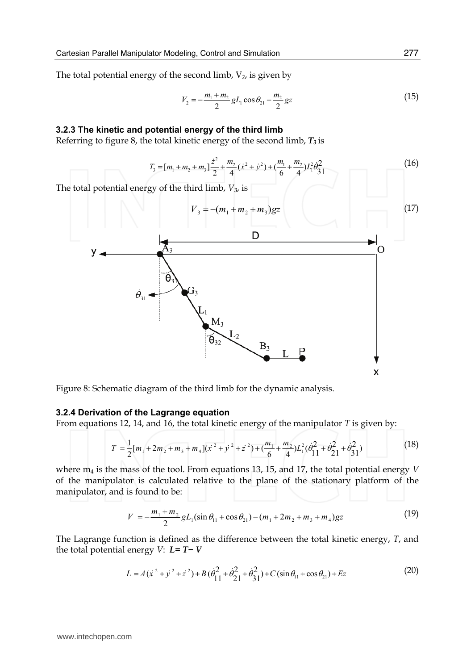The total potential energy of the second limb, V*2*, is given by

$$
V_2 = -\frac{m_1 + m_2}{2} g L_1 \cos \theta_{21} - \frac{m_2}{2} g z \tag{15}
$$

#### **3.2.3 The kinetic and potential energy of the third limb**

Referring to figure 8, the total kinetic energy of the second limb, *T3* is



Figure 8: Schematic diagram of the third limb for the dynamic analysis.

#### **3.2.4 Derivation of the Lagrange equation**

From equations 12, 14, and 16, the total kinetic energy of the manipulator *T* is given by:

$$
T = \frac{1}{2} [m_1 + 2m_2 + m_3 + m_4] (x^2 + y^2 + z^2) + (\frac{m_1}{6} + \frac{m_2}{4}) L_1^2 (\dot{\theta}_{11}^2 + \dot{\theta}_{21}^2 + \dot{\theta}_{31}^2)
$$
(18)

where m4 is the mass of the tool. From equations 13, 15, and 17, the total potential energy *V* of the manipulator is calculated relative to the plane of the stationary platform of the manipulator, and is found to be:

$$
V = -\frac{m_1 + m_2}{2}gL_1(\sin\theta_{11} + \cos\theta_{21}) - (m_1 + 2m_2 + m_3 + m_4)gz
$$
\n(19)

The Lagrange function is defined as the difference between the total kinetic energy, *T*, and the total potential energy *V*: *L= T− V* 

$$
L = A(x^{2} + y^{2} + z^{2}) + B(\dot{\theta}_{11}^{2} + \dot{\theta}_{21}^{2} + \dot{\theta}_{31}^{2}) + C(\sin \theta_{11} + \cos \theta_{21}) + Ez
$$
 (20)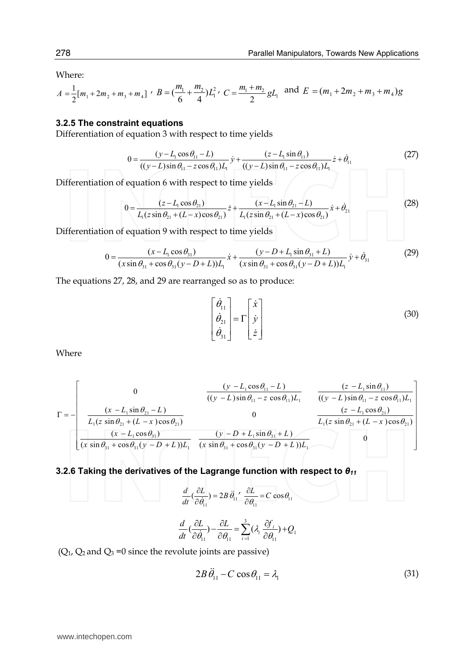Where:

$$
A = \frac{1}{2}[m_1 + 2m_2 + m_3 + m_4] \cdot B = \left(\frac{m_1}{6} + \frac{m_2}{4}\right)L_1^2 \cdot C = \frac{m_1 + m_2}{2}gL_1 \text{ and } E = (m_1 + 2m_2 + m_3 + m_4)g
$$

# **3.2.5 The constraint equations**

Differentiation of equation 3 with respect to time yields

$$
0 = \frac{(y - L_1 \cos \theta_{11} - L)}{((y - L)\sin \theta_{11} - z \cos \theta_{11})L_1} \dot{y} + \frac{(z - L_1 \sin \theta_{11})}{((y - L)\sin \theta_{11} - z \cos \theta_{11})L_1} \dot{z} + \dot{\theta}_{11}
$$
(27)

Differentiation of equation 6 with respect to time yields

$$
0 = \frac{(z - L_1 \cos \theta_{21})}{L_1(z \sin \theta_{21} + (L - x)\cos \theta_{21})} \dot{z} + \frac{(x - L_1 \sin \theta_{21} - L)}{L_1(z \sin \theta_{21} + (L - x)\cos \theta_{21})} \dot{x} + \dot{\theta}_{21}
$$
(28)

Differentiation of equation 9 with respect to time yields

$$
0 = \frac{(x - L_1 \cos \theta_{31})}{(x \sin \theta_{31} + \cos \theta_{31} (y - D + L))L_1} \dot{x} + \frac{(y - D + L_1 \sin \theta_{31} + L)}{(x \sin \theta_{31} + \cos \theta_{31} (y - D + L))L_1} \dot{y} + \dot{\theta}_{31}
$$
(29)

The equations 27, 28, and 29 are rearranged so as to produce:

$$
\begin{bmatrix} \dot{\theta}_{11} \\ \dot{\theta}_{21} \\ \dot{\theta}_{31} \end{bmatrix} = \Gamma \begin{bmatrix} \dot{x} \\ \dot{y} \\ \dot{z} \end{bmatrix}
$$
 (30)

Where

$$
\Gamma = \begin{bmatrix}\n0 & \frac{(y - L_1 \cos \theta_{11} - L)}{((y - L) \sin \theta_{11} - z \cos \theta_{11})L_1} & \frac{(z - L_1 \sin \theta_{11})}{((y - L) \sin \theta_{11} - z \cos \theta_{11})L_1} \\
\frac{(x - L_1 \sin \theta_{21} - L)}{L_1(z \sin \theta_{21} + (L - x) \cos \theta_{21})} & 0 & \frac{(z - L_1 \cos \theta_{21})}{L_1(z \sin \theta_{21} + (L - x) \cos \theta_{21})} \\
\frac{(x - L_1 \cos \theta_{31})}{((x \sin \theta_{31} + \cos \theta_{31})(y - D + L))L_1} & \frac{(y - D + L_1 \sin \theta_{31} + L)}{(x \sin \theta_{31} + \cos \theta_{31}(y - D + L))L_1} & 0\n\end{bmatrix}
$$

# **3.2.6 Taking the derivatives of the Lagrange function with respect to** *θ<sup>11</sup>*

$$
\frac{d}{dt}(\frac{\partial L}{\partial \dot{\theta}_{11}}) = 2B \ddot{\theta}_{11}^{\prime} \frac{\partial L}{\partial \theta_{11}} = C \cos \theta_{11}
$$

$$
\frac{d}{dt}\left(\frac{\partial L}{\partial \dot{\theta}_{11}}\right) - \frac{\partial L}{\partial \theta_{11}} = \sum_{i=1}^{3} (\lambda_i \frac{\partial f_i}{\partial \theta_{11}}) + Q_1
$$

 $(Q_1, Q_2, Q_3)$  =0 since the revolute joints are passive)

$$
2B\ddot{\theta}_{11} - C\cos\theta_{11} = \lambda_1\tag{31}
$$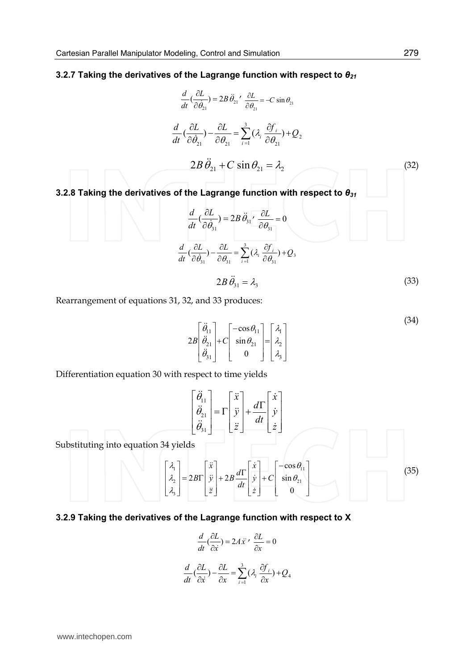# **3.2.7 Taking the derivatives of the Lagrange function with respect to** *θ<sup>21</sup>*

$$
\frac{d}{dt}(\frac{\partial L}{\partial \dot{\theta}_{21}}) = 2B \ddot{\theta}_{21}' \frac{\partial L}{\partial \theta_{21}} = -C \sin \theta_{21}
$$
\n
$$
\frac{d}{dt}(\frac{\partial L}{\partial \dot{\theta}_{21}}) - \frac{\partial L}{\partial \theta_{21}} = \sum_{i=1}^{3} (\lambda_i \frac{\partial f_i}{\partial \theta_{21}}) + Q_2
$$
\n
$$
2B \ddot{\theta}_{21} + C \sin \theta_{21} = \lambda_2
$$
\n(32)

**3.2.8 Taking the derivatives of the Lagrange function with respect to** *θ<sup>31</sup>*

$$
\frac{d}{dt}(\frac{\partial L}{\partial \dot{\theta}_{31}}) = 2B \ddot{\theta}_{31} \frac{\partial L}{\partial \theta_{31}} = 0
$$
\n
$$
\frac{d}{dt}(\frac{\partial L}{\partial \dot{\theta}_{31}}) - \frac{\partial L}{\partial \theta_{31}} = \sum_{i=1}^{3} (\lambda_i \frac{\partial f_i}{\partial \theta_{31}}) + Q_3
$$
\n
$$
2B \ddot{\theta}_{31} = \lambda_3
$$
\n(33)

Rearrangement of equations 31, 32, and 33 produces:

$$
2B\begin{bmatrix} \ddot{\theta}_{11} \\ \ddot{\theta}_{21} \\ \ddot{\theta}_{31} \end{bmatrix} + C\begin{bmatrix} -\cos\theta_{11} \\ \sin\theta_{21} \\ 0 \end{bmatrix} = \begin{bmatrix} \lambda_1 \\ \lambda_2 \\ \lambda_3 \end{bmatrix}
$$
 (34)

Differentiation equation 30 with respect to time yields

$$
\begin{bmatrix} \ddot{\theta}_{11} \\ \ddot{\theta}_{21} \\ \ddot{\theta}_{31} \end{bmatrix} = \Gamma \begin{bmatrix} \ddot{x} \\ \ddot{y} \\ \ddot{z} \end{bmatrix} + \frac{d\Gamma}{dt} \begin{bmatrix} \dot{x} \\ \dot{y} \\ \dot{z} \end{bmatrix}
$$

Substituting into equation 34 yields

$$
\begin{bmatrix} \lambda_1 \\ \lambda_2 \\ \lambda_3 \end{bmatrix} = 2B\Gamma \begin{bmatrix} \ddot{x} \\ \ddot{y} \\ \ddot{z} \end{bmatrix} + 2B\frac{d\Gamma}{dt} \begin{bmatrix} \dot{x} \\ \dot{y} \\ \dot{z} \end{bmatrix} + C\begin{bmatrix} -\cos\theta_{11} \\ \sin\theta_{21} \\ 0 \end{bmatrix}
$$
(35)

# **3.2.9 Taking the derivatives of the Lagrange function with respect to X**

$$
\frac{d}{dt}(\frac{\partial L}{\partial \dot{x}}) = 2A\ddot{x}' \frac{\partial L}{\partial x} = 0
$$

$$
\frac{d}{dt}(\frac{\partial L}{\partial \dot{x}}) - \frac{\partial L}{\partial x} = \sum_{i=1}^{3} (\lambda_i \frac{\partial f_i}{\partial x}) + Q_4
$$

=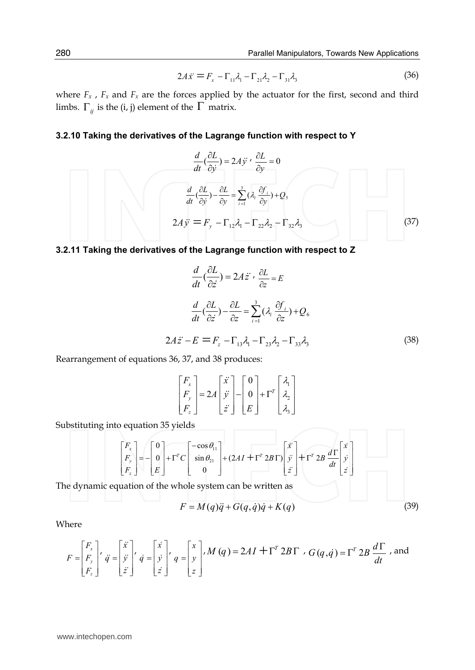$$
2A\ddot{x} = F_x - \Gamma_{11}\lambda_1 - \Gamma_{21}\lambda_2 - \Gamma_{31}\lambda_3
$$
\n(36)

where  $F_x$ ,  $F_x$  and  $F_x$  are the forces applied by the actuator for the first, second and third limbs.  $\Gamma_{ii}$  is the (i, j) element of the  $\Gamma$  matrix.

# **3.2.10 Taking the derivatives of the Lagrange function with respect to Y**

$$
\frac{d}{dt}(\frac{\partial L}{\partial y}) = 2Ay' \cdot \frac{\partial L}{\partial y} = 0
$$
\n
$$
\frac{d}{dt}(\frac{\partial L}{\partial y}) - \frac{\partial L}{\partial y} = \sum_{i=1}^{3} (\lambda_i \frac{\partial f_i}{\partial y}) + Q_s
$$
\n
$$
2Ay' = F_y - \Gamma_{12}\lambda_1 - \Gamma_{22}\lambda_2 - \Gamma_{32}\lambda_3 \tag{37}
$$

# **3.2.11 Taking the derivatives of the Lagrange function with respect to Z**   $\overline{1}$   $\overline{2}$

$$
\frac{d}{dt}(\frac{\partial L}{\partial \dot{z}}) = 2A\ddot{z} \cdot \frac{\partial L}{\partial z} = E
$$
\n
$$
\frac{d}{dt}(\frac{\partial L}{\partial \dot{z}}) - \frac{\partial L}{\partial z} = \sum_{i=1}^{3} (\lambda_i \frac{\partial f_i}{\partial z}) + Q_6
$$
\n
$$
2A\ddot{z} - E = F_z - \Gamma_{13}\lambda_1 - \Gamma_{23}\lambda_2 - \Gamma_{33}\lambda_3
$$
\n(38)

Rearrangement of equations 36, 37, and 38 produces:

$$
\begin{bmatrix} F_x \\ F_y \\ F_z \end{bmatrix} = 2A \begin{bmatrix} \ddot{x} \\ \ddot{y} \\ \ddot{z} \end{bmatrix} - \begin{bmatrix} 0 \\ 0 \\ E \end{bmatrix} + \Gamma^T \begin{bmatrix} \lambda_1 \\ \lambda_2 \\ \lambda_3 \end{bmatrix}
$$

Substituting into equation 35 yields

$$
\begin{bmatrix} F_x \\ F_y \\ F_z \end{bmatrix} = -\begin{bmatrix} 0 \\ 0 \\ E \end{bmatrix} + \Gamma^T C \begin{bmatrix} -\cos \theta_{11} \\ \sin \theta_{21} \\ 0 \end{bmatrix} + (2AI + \Gamma^T 2BT) \begin{bmatrix} \ddot{x} \\ \ddot{y} \\ \ddot{z} \end{bmatrix} + \Gamma^T 2B \frac{d\Gamma}{dt} \begin{bmatrix} \dot{x} \\ \dot{y} \\ \dot{z} \end{bmatrix}
$$

The dynamic equation of the whole system can be written as

$$
F = M(q)\ddot{q} + G(q, \dot{q})\dot{q} + K(q) \tag{39}
$$

Where

$$
F = \begin{bmatrix} F_x \\ F_y \\ F_z \end{bmatrix}, \ \ddot{q} = \begin{bmatrix} \ddot{x} \\ \ddot{y} \\ \ddot{z} \end{bmatrix}, \ \dot{q} = \begin{bmatrix} \dot{x} \\ \dot{y} \\ \dot{z} \end{bmatrix}, \ q = \begin{bmatrix} x \\ y \\ z \end{bmatrix}, M \ (q) = 2AI + \Gamma^T \ 2B \Gamma \ , \ G \ (q, \dot{q}) = \Gamma^T \ 2B \ \frac{d \Gamma}{dt} \ , \text{and}
$$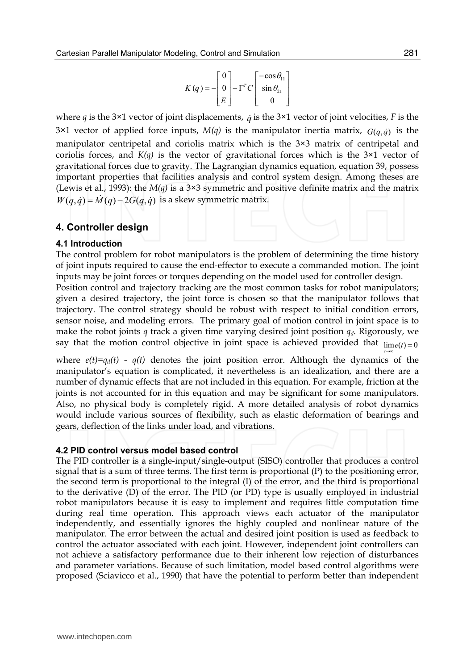$$
K(q) = -\begin{bmatrix} 0 \\ 0 \\ E \end{bmatrix} + \Gamma^T C \begin{bmatrix} -\cos \theta_{11} \\ \sin \theta_{21} \\ 0 \end{bmatrix}
$$

where *q* is the 3×1 vector of joint displacements,  $\dot{q}$  is the 3×1 vector of joint velocities, *F* is the  $3\times1$  vector of applied force inputs,  $M(q)$  is the manipulator inertia matrix,  $G(q, \dot{q})$  is the manipulator centripetal and coriolis matrix which is the 3×3 matrix of centripetal and coriolis forces, and *K(q)* is the vector of gravitational forces which is the 3×1 vector of gravitational forces due to gravity. The Lagrangian dynamics equation, equation 39, possess important properties that facilities analysis and control system design. Among theses are (Lewis et al., 1993): the *M(q)* is a 3×3 symmetric and positive definite matrix and the matrix  $W(q, \dot{q}) = \dot{M}(q) - 2G(q, \dot{q})$  is a skew symmetric matrix.

# **4. Controller design**

#### **4.1 Introduction**

The control problem for robot manipulators is the problem of determining the time history of joint inputs required to cause the end-effector to execute a commanded motion. The joint inputs may be joint forces or torques depending on the model used for controller design.

Position control and trajectory tracking are the most common tasks for robot manipulators; given a desired trajectory, the joint force is chosen so that the manipulator follows that trajectory. The control strategy should be robust with respect to initial condition errors, sensor noise, and modeling errors. The primary goal of motion control in joint space is to make the robot joints  $q$  track a given time varying desired joint position  $q_d$ . Rigorously, we say that the motion control objective in joint space is achieved provided that  $\lim_{\varepsilon(t)=0}$ 

where  $e(t)=q_d(t) - q(t)$  denotes the joint position error. Although the dynamics of the manipulator's equation is complicated, it nevertheless is an idealization, and there are a number of dynamic effects that are not included in this equation. For example, friction at the joints is not accounted for in this equation and may be significant for some manipulators. Also, no physical body is completely rigid. A more detailed analysis of robot dynamics would include various sources of flexibility, such as elastic deformation of bearings and gears, deflection of the links under load, and vibrations.

#### **4.2 PID control versus model based control**

The PID controller is a single-input/single-output (SISO) controller that produces a control signal that is a sum of three terms. The first term is proportional (P) to the positioning error, the second term is proportional to the integral (I) of the error, and the third is proportional to the derivative (D) of the error. The PID (or PD) type is usually employed in industrial robot manipulators because it is easy to implement and requires little computation time during real time operation. This approach views each actuator of the manipulator independently, and essentially ignores the highly coupled and nonlinear nature of the manipulator. The error between the actual and desired joint position is used as feedback to control the actuator associated with each joint. However, independent joint controllers can not achieve a satisfactory performance due to their inherent low rejection of disturbances and parameter variations. Because of such limitation, model based control algorithms were proposed (Sciavicco et al., 1990) that have the potential to perform better than independent

*t* →∞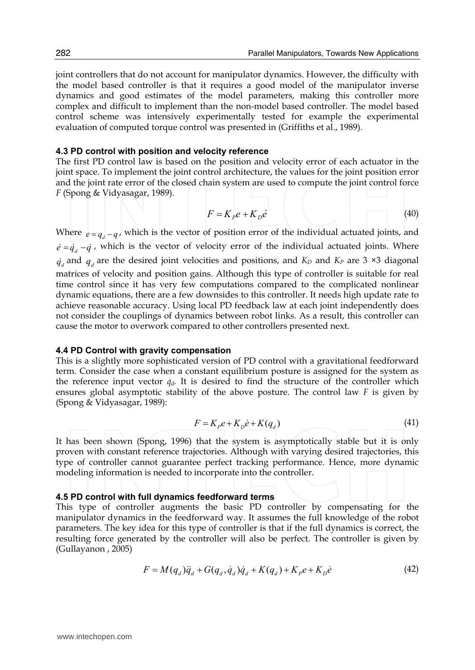joint controllers that do not account for manipulator dynamics. However, the difficulty with the model based controller is that it requires a good model of the manipulator inverse dynamics and good estimates of the model parameters, making this controller more complex and difficult to implement than the non-model based controller. The model based control scheme was intensively experimentally tested for example the experimental evaluation of computed torque control was presented in (Griffiths et al., 1989).

#### **4.3 PD control with position and velocity reference**

The first PD control law is based on the position and velocity error of each actuator in the joint space. To implement the joint control architecture, the values for the joint position error and the joint rate error of the closed chain system are used to compute the joint control force *F* (Spong & Vidyasagar, 1989).

$$
F = K_p e + K_p \dot{e}
$$
 (40)

Where  $e = q_d - q$ , which is the vector of position error of the individual actuated joints, and  $\dot{e}$  =  $\dot{q}_d$  –  $\dot{q}$ , which is the vector of velocity error of the individual actuated joints. Where  $\dot{q}_d$  and  $q_d$  are the desired joint velocities and positions, and  $K_D$  and  $K_P$  are 3 ×3 diagonal matrices of velocity and position gains. Although this type of controller is suitable for real time control since it has very few computations compared to the complicated nonlinear dynamic equations, there are a few downsides to this controller. It needs high update rate to achieve reasonable accuracy. Using local PD feedback law at each joint independently does not consider the couplings of dynamics between robot links. As a result, this controller can cause the motor to overwork compared to other controllers presented next.

#### **4.4 PD Control with gravity compensation**

This is a slightly more sophisticated version of PD control with a gravitational feedforward term. Consider the case when a constant equilibrium posture is assigned for the system as the reference input vector  $q_d$ . It is desired to find the structure of the controller which ensures global asymptotic stability of the above posture. The control law *F* is given by (Spong & Vidyasagar, 1989):

$$
F = K_p e + K_p \dot{e} + K(q_d)
$$
\n<sup>(41)</sup>

It has been shown (Spong, 1996) that the system is asymptotically stable but it is only proven with constant reference trajectories. Although with varying desired trajectories, this type of controller cannot guarantee perfect tracking performance. Hence, more dynamic modeling information is needed to incorporate into the controller.

#### **4.5 PD control with full dynamics feedforward terms**

This type of controller augments the basic PD controller by compensating for the manipulator dynamics in the feedforward way. It assumes the full knowledge of the robot parameters. The key idea for this type of controller is that if the full dynamics is correct, the resulting force generated by the controller will also be perfect. The controller is given by (Gullayanon , 2005)

$$
F = M(q_d)\ddot{q}_d + G(q_d, \dot{q}_d)\dot{q}_d + K(q_d) + K_p e + K_p \dot{e}
$$
\n(42)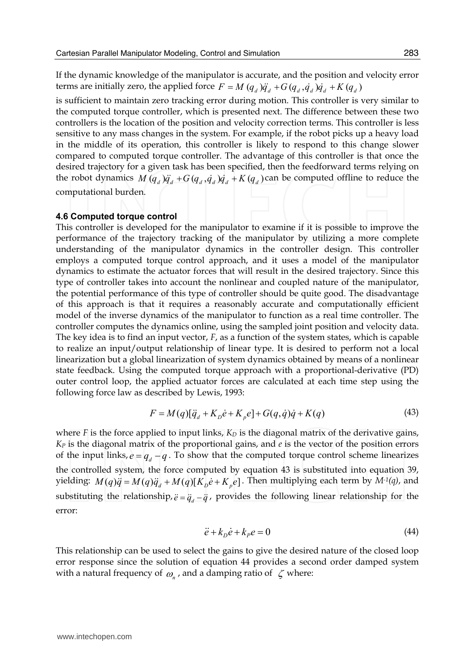If the dynamic knowledge of the manipulator is accurate, and the position and velocity error terms are initially zero, the applied force  $F = M (q_d) \ddot{q}_d + G (q_d, \dot{q}_d) \dot{q}_d + K (q_d)$ 

is sufficient to maintain zero tracking error during motion. This controller is very similar to the computed torque controller, which is presented next. The difference between these two controllers is the location of the position and velocity correction terms. This controller is less sensitive to any mass changes in the system. For example, if the robot picks up a heavy load in the middle of its operation, this controller is likely to respond to this change slower compared to computed torque controller. The advantage of this controller is that once the desired trajectory for a given task has been specified, then the feedforward terms relying on the robot dynamics  $M(q_d) \ddot{q}_d + G(q_d, \dot{q}_d) \dot{q}_d + K(q_d)$  can be computed offline to reduce the computational burden.

#### **4.6 Computed torque control**

This controller is developed for the manipulator to examine if it is possible to improve the performance of the trajectory tracking of the manipulator by utilizing a more complete understanding of the manipulator dynamics in the controller design. This controller employs a computed torque control approach, and it uses a model of the manipulator dynamics to estimate the actuator forces that will result in the desired trajectory. Since this type of controller takes into account the nonlinear and coupled nature of the manipulator, the potential performance of this type of controller should be quite good. The disadvantage of this approach is that it requires a reasonably accurate and computationally efficient model of the inverse dynamics of the manipulator to function as a real time controller. The controller computes the dynamics online, using the sampled joint position and velocity data. The key idea is to find an input vector, *F*, as a function of the system states, which is capable to realize an input/output relationship of linear type. It is desired to perform not a local linearization but a global linearization of system dynamics obtained by means of a nonlinear state feedback. Using the computed torque approach with a proportional-derivative (PD) outer control loop, the applied actuator forces are calculated at each time step using the following force law as described by Lewis, 1993:

$$
F = M(q)[\ddot{q}_d + K_p \dot{e} + K_p e] + G(q, \dot{q})\dot{q} + K(q)
$$
\n(43)

where *F* is the force applied to input links,  $K_D$  is the diagonal matrix of the derivative gains, *K<sup>P</sup>* is the diagonal matrix of the proportional gains, and *e* is the vector of the position errors of the input links,  $e = q_d - q$ . To show that the computed torque control scheme linearizes the controlled system, the force computed by equation 43 is substituted into equation 39, yielding:  $M(q)\ddot{q} = M(q)\ddot{q}_d + M(q)[K_b \dot{e} + K_{p}e]$ . Then multiplying each term by  $M$ *-1(q),* and substituting the relationship, $\ddot{e} = \ddot{q}_d - \ddot{q}$ , provides the following linear relationship for the error:

$$
\ddot{e} + k_{D}\dot{e} + k_{P}e = 0 \tag{44}
$$

This relationship can be used to select the gains to give the desired nature of the closed loop error response since the solution of equation 44 provides a second order damped system with a natural frequency of  $\omega_n$ , and a damping ratio of  $\zeta$  where: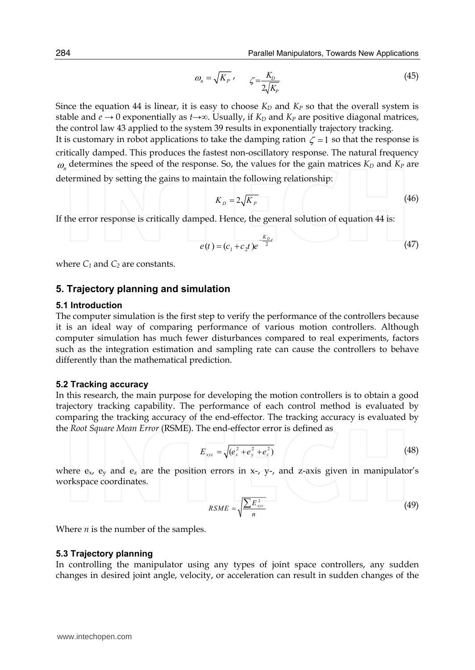$$
\omega_n = \sqrt{K_P} \qquad \zeta = \frac{K_D}{2\sqrt{K_P}} \tag{45}
$$

Since the equation 44 is linear, it is easy to choose  $K_D$  and  $K_P$  so that the overall system is stable and  $e \rightarrow 0$  exponentially as  $t \rightarrow \infty$ . Usually, if  $K_p$  and  $K_p$  are positive diagonal matrices, the control law 43 applied to the system 39 results in exponentially trajectory tracking. It is customary in robot applications to take the damping ration  $\zeta = 1$  so that the response is critically damped. This produces the fastest non-oscillatory response. The natural frequency

 $\omega_n$  determines the speed of the response. So, the values for the gain matrices  $K_D$  and  $K_P$  are determined by setting the gains to maintain the following relationship:

$$
K_D = 2\sqrt{K_P} \tag{46}
$$

If the error response is critically damped. Hence, the general solution of equation 44 is:

$$
e(t) = (c_1 + c_2 t) e^{-\frac{K_{D_t}}{2}}
$$
 (47)

where  $C_1$  and  $C_2$  are constants.

#### **5. Trajectory planning and simulation**

#### **5.1 Introduction**

The computer simulation is the first step to verify the performance of the controllers because it is an ideal way of comparing performance of various motion controllers. Although computer simulation has much fewer disturbances compared to real experiments, factors such as the integration estimation and sampling rate can cause the controllers to behave differently than the mathematical prediction.

#### **5.2 Tracking accuracy**

In this research, the main purpose for developing the motion controllers is to obtain a good trajectory tracking capability. The performance of each control method is evaluated by comparing the tracking accuracy of the end-effector. The tracking accuracy is evaluated by the *Root Square Mean Error* (RSME). The end-effector error is defined as

$$
E_{xyz} = \sqrt{(e_x^2 + e_y^2 + e_z^2)}
$$
 (48)

where  $e_x$ ,  $e_y$  and  $e_z$  are the position errors in x-, y-, and z-axis given in manipulator's workspace coordinates.

$$
RSME = \sqrt{\frac{\sum E_{xyz}^2}{n}}
$$
 (49)

Where  $n$  is the number of the samples.

#### **5.3 Trajectory planning**

In controlling the manipulator using any types of joint space controllers, any sudden changes in desired joint angle, velocity, or acceleration can result in sudden changes of the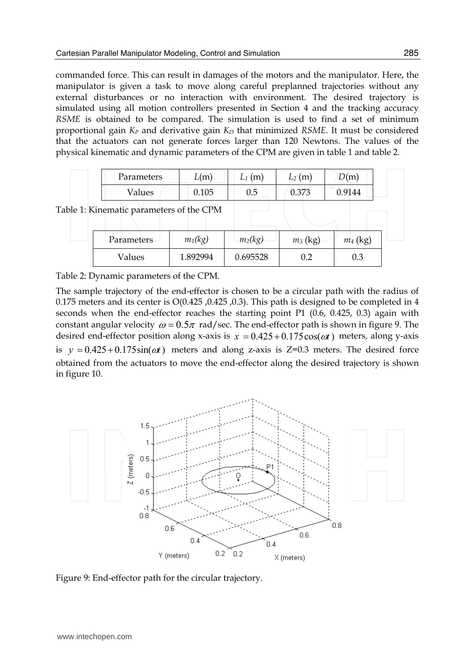commanded force. This can result in damages of the motors and the manipulator. Here, the manipulator is given a task to move along careful preplanned trajectories without any external disturbances or no interaction with environment. The desired trajectory is simulated using all motion controllers presented in Section 4 and the tracking accuracy *RSME* is obtained to be compared. The simulation is used to find a set of minimum proportional gain *KP* and derivative gain *KD* that minimized *RSME*. It must be considered that the actuators can not generate forces larger than 120 Newtons. The values of the physical kinematic and dynamic parameters of the CPM are given in table 1 and table 2.

| Parameters | L(m)  | $L_1$ (m) | $L_2(m)$ | D(m)   |
|------------|-------|-----------|----------|--------|
| Values     | J.105 | 0.5       | 0.373    | 0.9144 |

Table 1: Kinematic parameters of the CPM

| Parameters | $m_1(kg)$ | $m_2(kg)$ | $m_3$ (kg) | $m_4$ (kg) |  |
|------------|-----------|-----------|------------|------------|--|
| Values     | 1.892994  | 0.695528  | 0.2        | 0.3        |  |

Table 2: Dynamic parameters of the CPM.

The sample trajectory of the end-effector is chosen to be a circular path with the radius of 0.175 meters and its center is  $O(0.425, 0.425, 0.3)$ . This path is designed to be completed in 4 seconds when the end-effector reaches the starting point P1 (0.6, 0.425, 0.3) again with constant angular velocity  $\omega = 0.5\pi$  rad/sec. The end-effector path is shown in figure 9. The desired end-effector position along x-axis is  $x = 0.425 + 0.175 \cos(\omega t)$  meters, along y-axis is  $y = 0.425 + 0.175\sin(\omega t)$  meters and along z-axis is Z=0.3 meters. The desired force obtained from the actuators to move the end-effector along the desired trajectory is shown in figure 10.



Figure 9: End-effector path for the circular trajectory.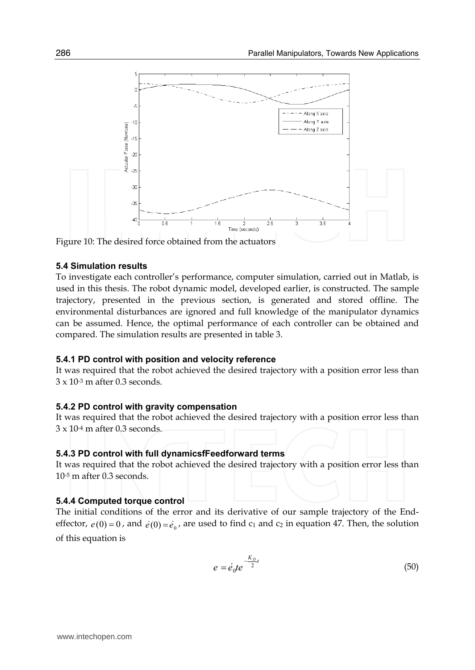

Figure 10: The desired force obtained from the actuators

#### **5.4 Simulation results**

To investigate each controller's performance, computer simulation, carried out in Matlab, is used in this thesis. The robot dynamic model, developed earlier, is constructed. The sample trajectory, presented in the previous section, is generated and stored offline. The environmental disturbances are ignored and full knowledge of the manipulator dynamics can be assumed. Hence, the optimal performance of each controller can be obtained and compared. The simulation results are presented in table 3.

#### **5.4.1 PD control with position and velocity reference**

It was required that the robot achieved the desired trajectory with a position error less than  $3 \times 10^{-3}$  m after 0.3 seconds.

# **5.4.2 PD control with gravity compensation**

It was required that the robot achieved the desired trajectory with a position error less than  $3 \times 10^{-4}$  m after 0.3 seconds.

# **5.4.3 PD control with full dynamicsfFeedforward terms**

It was required that the robot achieved the desired trajectory with a position error less than 10-5 m after 0.3 seconds.

# **5.4.4 Computed torque control**

The initial conditions of the error and its derivative of our sample trajectory of the Endeffector,  $e(0) = 0$ , and  $\dot{e}(0) = \dot{e}_0$ , are used to find  $c_1$  and  $c_2$  in equation 47. Then, the solution of this equation is

$$
e = \dot{e}_0 t e^{-\frac{K_D}{2}t}
$$
\n
$$
(50)
$$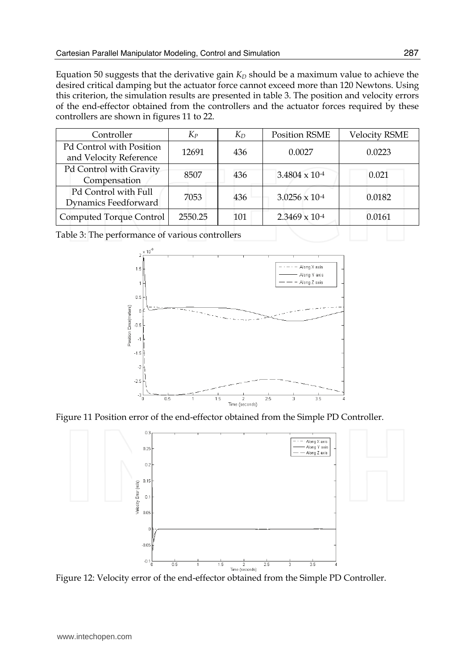Equation 50 suggests that the derivative gain  $K_D$  should be a maximum value to achieve the desired critical damping but the actuator force cannot exceed more than 120 Newtons. Using this criterion, the simulation results are presented in table 3. The position and velocity errors of the end-effector obtained from the controllers and the actuator forces required by these controllers are shown in figures 11 to 22.

| Controller                                                | Kр      | $K_D$ | <b>Position RSME</b>    | <b>Velocity RSME</b> |
|-----------------------------------------------------------|---------|-------|-------------------------|----------------------|
| <b>Pd Control with Position</b><br>and Velocity Reference | 12691   | 436   | 0.0027                  | 0.0223               |
| Pd Control with Gravity<br>Compensation                   | 8507    | 436   | $3.4804 \times 10^{-4}$ | 0.021                |
| Pd Control with Full<br>Dynamics Feedforward              | 7053    | 436   | $3.0256 \times 10^{-4}$ | 0.0182               |
| Computed Torque Control                                   | 2550.25 | 101   | $2.3469 \times 10^{-4}$ | 0.0161               |

Table 3: The performance of various controllers



Figure 11 Position error of the end-effector obtained from the Simple PD Controller.



Figure 12: Velocity error of the end-effector obtained from the Simple PD Controller.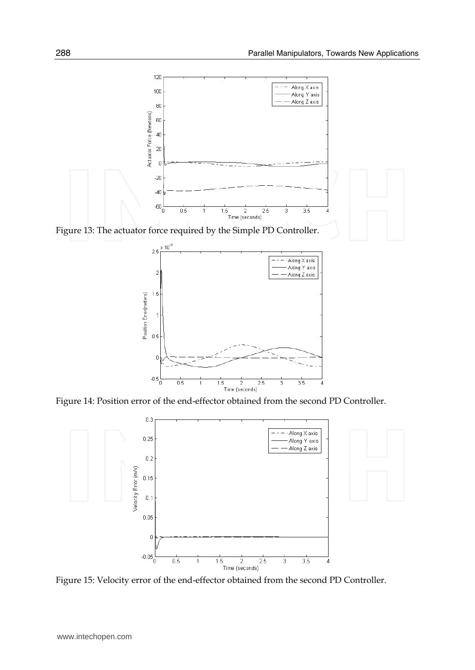



Figure 14: Position error of the end-effector obtained from the second PD Controller.



Figure 15: Velocity error of the end-effector obtained from the second PD Controller.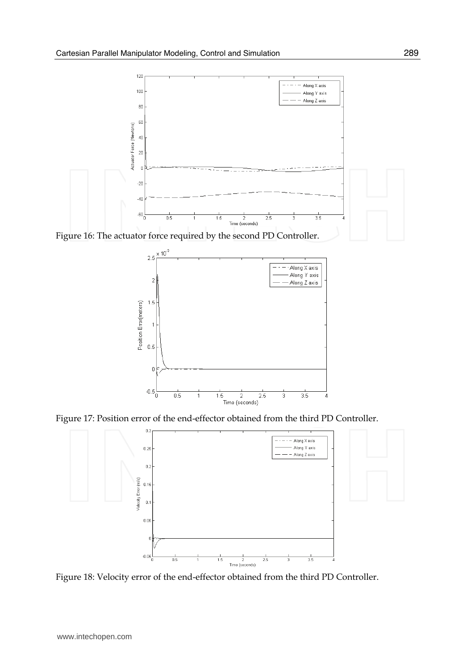

Figure 16: The actuator force required by the second PD Controller.



Figure 17: Position error of the end-effector obtained from the third PD Controller.



Figure 18: Velocity error of the end-effector obtained from the third PD Controller.

www.intechopen.com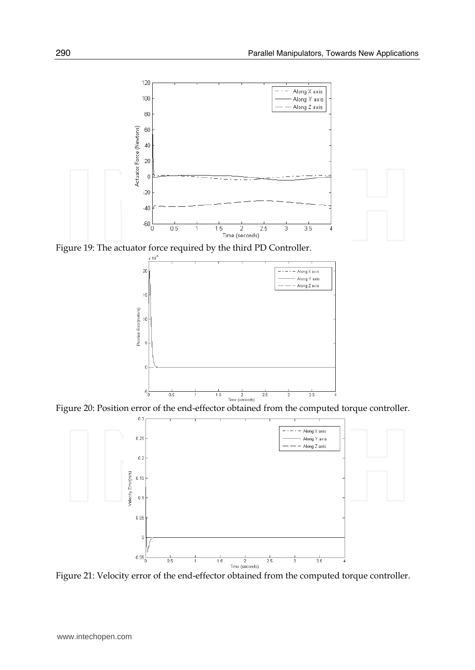

Figure 19: The actuator force required by the third PD Controller.



Figure 20: Position error of the end-effector obtained from the computed torque controller.



Figure 21: Velocity error of the end-effector obtained from the computed torque controller.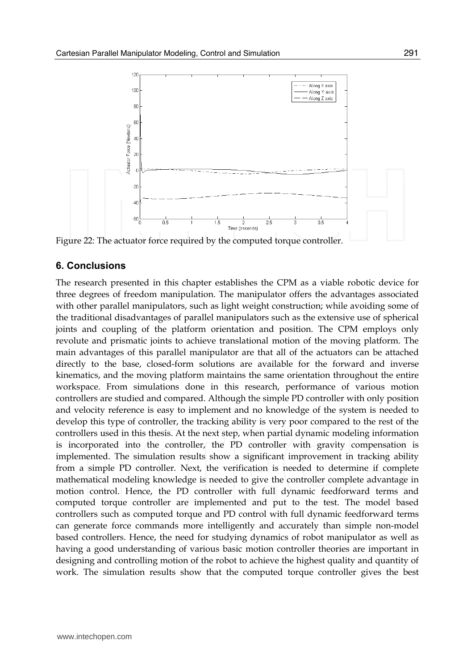

Figure 22: The actuator force required by the computed torque controller.

# **6. Conclusions**

The research presented in this chapter establishes the CPM as a viable robotic device for three degrees of freedom manipulation. The manipulator offers the advantages associated with other parallel manipulators, such as light weight construction; while avoiding some of the traditional disadvantages of parallel manipulators such as the extensive use of spherical joints and coupling of the platform orientation and position. The CPM employs only revolute and prismatic joints to achieve translational motion of the moving platform. The main advantages of this parallel manipulator are that all of the actuators can be attached directly to the base, closed-form solutions are available for the forward and inverse kinematics, and the moving platform maintains the same orientation throughout the entire workspace. From simulations done in this research, performance of various motion controllers are studied and compared. Although the simple PD controller with only position and velocity reference is easy to implement and no knowledge of the system is needed to develop this type of controller, the tracking ability is very poor compared to the rest of the controllers used in this thesis. At the next step, when partial dynamic modeling information is incorporated into the controller, the PD controller with gravity compensation is implemented. The simulation results show a significant improvement in tracking ability from a simple PD controller. Next, the verification is needed to determine if complete mathematical modeling knowledge is needed to give the controller complete advantage in motion control. Hence, the PD controller with full dynamic feedforward terms and computed torque controller are implemented and put to the test. The model based controllers such as computed torque and PD control with full dynamic feedforward terms can generate force commands more intelligently and accurately than simple non-model based controllers. Hence, the need for studying dynamics of robot manipulator as well as having a good understanding of various basic motion controller theories are important in designing and controlling motion of the robot to achieve the highest quality and quantity of work. The simulation results show that the computed torque controller gives the best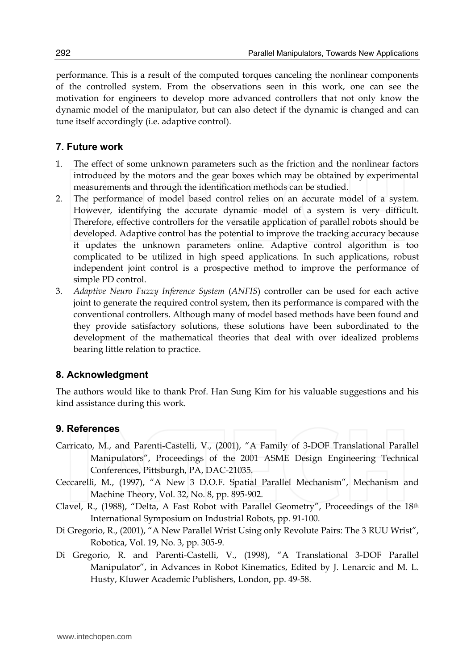performance. This is a result of the computed torques canceling the nonlinear components of the controlled system. From the observations seen in this work, one can see the motivation for engineers to develop more advanced controllers that not only know the dynamic model of the manipulator, but can also detect if the dynamic is changed and can tune itself accordingly (i.e. adaptive control).

# **7. Future work**

- 1. The effect of some unknown parameters such as the friction and the nonlinear factors introduced by the motors and the gear boxes which may be obtained by experimental measurements and through the identification methods can be studied.
- 2. The performance of model based control relies on an accurate model of a system. However, identifying the accurate dynamic model of a system is very difficult. Therefore, effective controllers for the versatile application of parallel robots should be developed. Adaptive control has the potential to improve the tracking accuracy because it updates the unknown parameters online. Adaptive control algorithm is too complicated to be utilized in high speed applications. In such applications, robust independent joint control is a prospective method to improve the performance of simple PD control.
- 3. *Adaptive Neuro Fuzzy Inference System* (*ANFIS*) controller can be used for each active joint to generate the required control system, then its performance is compared with the conventional controllers. Although many of model based methods have been found and they provide satisfactory solutions, these solutions have been subordinated to the development of the mathematical theories that deal with over idealized problems bearing little relation to practice.

# **8. Acknowledgment**

The authors would like to thank Prof. Han Sung Kim for his valuable suggestions and his kind assistance during this work.

# **9. References**

- Carricato, M., and Parenti-Castelli, V., (2001), "A Family of 3-DOF Translational Parallel Manipulators", Proceedings of the 2001 ASME Design Engineering Technical Conferences, Pittsburgh, PA, DAC-21035.
- Ceccarelli, M., (1997), "A New 3 D.O.F. Spatial Parallel Mechanism", Mechanism and Machine Theory, Vol. 32, No. 8, pp. 895-902.
- Clavel, R., (1988), "Delta, A Fast Robot with Parallel Geometry", Proceedings of the 18th International Symposium on Industrial Robots, pp. 91-100.
- Di Gregorio, R., (2001), "A New Parallel Wrist Using only Revolute Pairs: The 3 RUU Wrist", Robotica, Vol. 19, No. 3, pp. 305-9.
- Di Gregorio, R. and Parenti-Castelli, V., (1998), "A Translational 3-DOF Parallel Manipulator", in Advances in Robot Kinematics, Edited by J. Lenarcic and M. L. Husty, Kluwer Academic Publishers, London, pp. 49-58.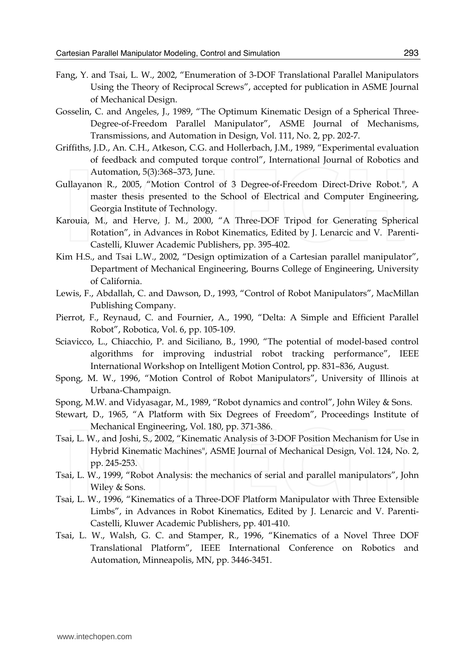- Fang, Y. and Tsai, L. W., 2002, "Enumeration of 3-DOF Translational Parallel Manipulators Using the Theory of Reciprocal Screws", accepted for publication in ASME Journal of Mechanical Design.
- Gosselin, C. and Angeles, J., 1989, "The Optimum Kinematic Design of a Spherical Three-Degree-of-Freedom Parallel Manipulator", ASME Journal of Mechanisms, Transmissions, and Automation in Design, Vol. 111, No. 2, pp. 202-7.
- Griffiths, J.D., An. C.H., Atkeson, C.G. and Hollerbach, J.M., 1989, "Experimental evaluation of feedback and computed torque control", International Journal of Robotics and Automation, 5(3):368–373, June.
- Gullayanon R., 2005, "Motion Control of 3 Degree-of-Freedom Direct-Drive Robot.", A master thesis presented to the School of Electrical and Computer Engineering, Georgia Institute of Technology.
- Karouia, M., and Herve, J. M., 2000, "A Three-DOF Tripod for Generating Spherical Rotation", in Advances in Robot Kinematics, Edited by J. Lenarcic and V. Parenti-Castelli, Kluwer Academic Publishers, pp. 395-402.
- Kim H.S., and Tsai L.W., 2002, "Design optimization of a Cartesian parallel manipulator", Department of Mechanical Engineering, Bourns College of Engineering, University of California.
- Lewis, F., Abdallah, C. and Dawson, D., 1993, "Control of Robot Manipulators", MacMillan Publishing Company.
- Pierrot, F., Reynaud, C. and Fournier, A., 1990, "Delta: A Simple and Efficient Parallel Robot", Robotica, Vol. 6, pp. 105-109.
- Sciavicco, L., Chiacchio, P. and Siciliano, B., 1990, "The potential of model-based control algorithms for improving industrial robot tracking performance", IEEE International Workshop on Intelligent Motion Control, pp. 831–836, August.
- Spong, M. W., 1996, "Motion Control of Robot Manipulators", University of Illinois at Urbana-Champaign.
- Spong, M.W. and Vidyasagar, M., 1989, "Robot dynamics and control", John Wiley & Sons.
- Stewart, D., 1965, "A Platform with Six Degrees of Freedom", Proceedings Institute of Mechanical Engineering, Vol. 180, pp. 371-386.
- Tsai, L. W., and Joshi, S., 2002, "Kinematic Analysis of 3-DOF Position Mechanism for Use in Hybrid Kinematic Machines", ASME Journal of Mechanical Design, Vol. 124, No. 2, pp. 245-253.
- Tsai, L. W., 1999, "Robot Analysis: the mechanics of serial and parallel manipulators", John Wiley & Sons.
- Tsai, L. W., 1996, "Kinematics of a Three-DOF Platform Manipulator with Three Extensible Limbs", in Advances in Robot Kinematics, Edited by J. Lenarcic and V. Parenti-Castelli, Kluwer Academic Publishers, pp. 401-410.
- Tsai, L. W., Walsh, G. C. and Stamper, R., 1996, "Kinematics of a Novel Three DOF Translational Platform", IEEE International Conference on Robotics and Automation, Minneapolis, MN, pp. 3446-3451.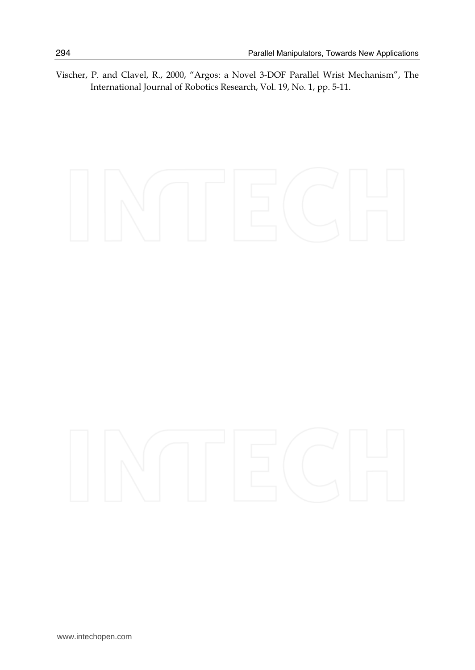Vischer, P. and Clavel, R., 2000, "Argos: a Novel 3-DOF Parallel Wrist Mechanism", The International Journal of Robotics Research, Vol. 19, No. 1, pp. 5-11.